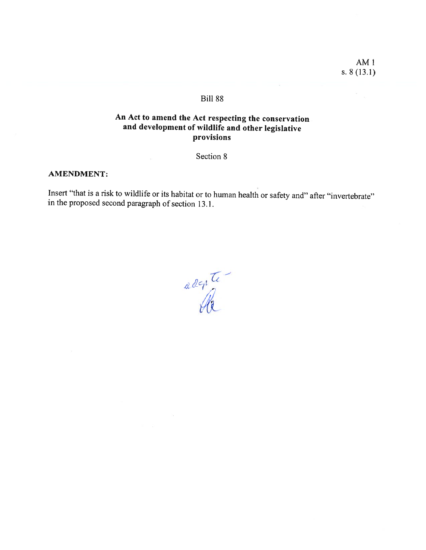$AM<sub>1</sub>$ s. 8 (13.1)

# Bili 88

# An Act to amend the Act respecting the conservation and development of wildlife and other legislative provisions

Section 8

### AMENDMENT:

Insert "that is <sup>a</sup> risk to wildlife or its habitat or to human health or safety and" after "invertebrate" in the proposed second paragraph of section 13.1.

adente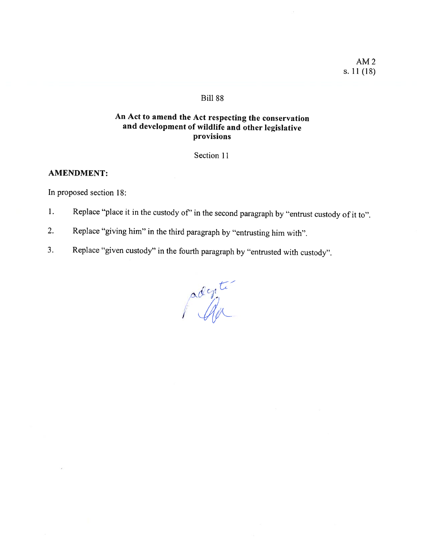AM2 s. 11(18)

## Bill 88

# An Act to amend the Act respecting the conservation and development of wildlife and other legislative provisions

## Section 11

## AMENDMENT:

In proposed section 18:

- 1. Replace "place it in the custody of" in the second paragraph by "entrust custody of it to".
- 2. Replace "giving him" in the third paragraph by "entrusting him with".
- 3. Replace "given custody" in the fourth paragraph by "entrusted with custody".

 $c_{n}$ /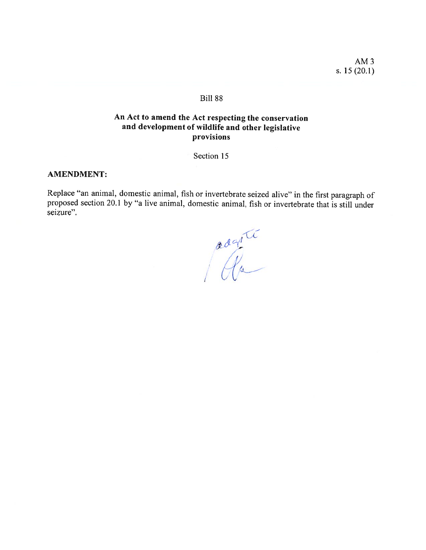AM3 s. 15(20.1)

### Bili 88

## An Act to amend the Act respecting the conservation and development of wildlife and other legislative provisions

Section 15

### AMENDMENT:

Replace "an animal, domestic animal, fish or invertebrate seized alive" in the first paragraph of proposed section 20.1 by "a live animal, domestic animal, fish or invertebrate that is stiil under seizure".

U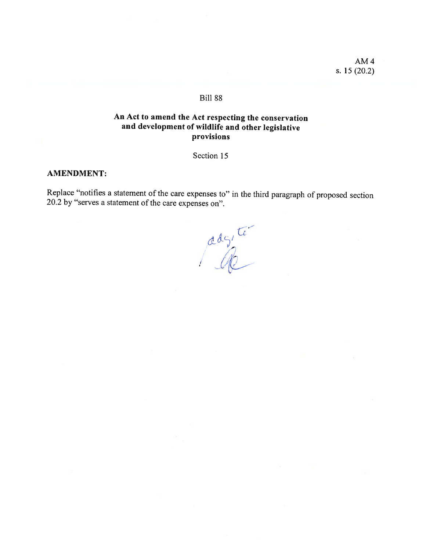AM4 s. 15 (20.2)

### BiIl 88

# An Act to amend the Act respecting the conservation and development of wildlife and other legislative provisions

Section 15

## AMENDMENT:

Replace "notifies a statement of the care expenses to" in the third paragraph of proposed section 20.2 by "serves a statement of the care expenses on".

adgite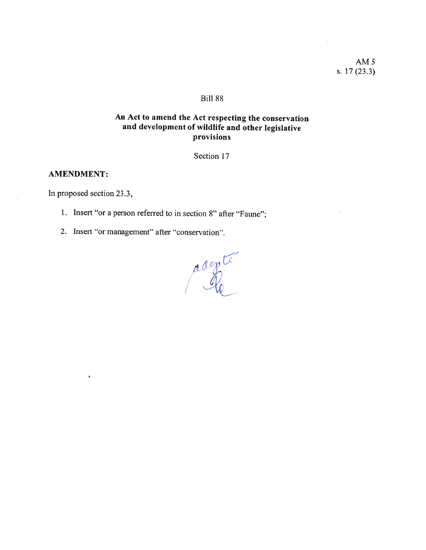AM5 s. 17(23.3)

## Biil 88

# An Act to amend the Act respecting the conservation and development of wildlife and other legislative provisions

Section 17

### AMENDMENT:

In proposed section 23.3,

- 1. Insert "or <sup>a</sup> person referred to in section 8" after "Faune";
- 2. Insert "or management" afier "conservation".

r  $\frac{1}{1}$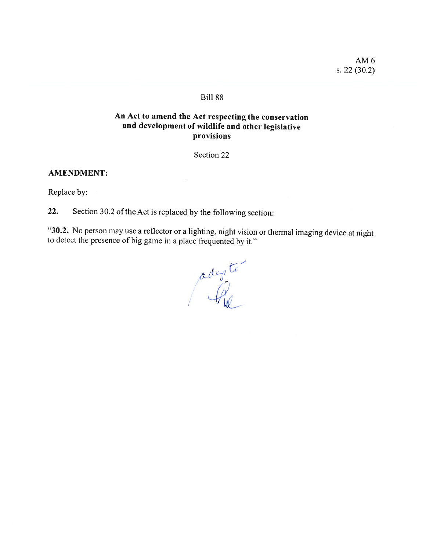AM6 s. 22 (30.2)

## Bili 88

# An Act to amend the Act respecting the conservation and development of wildlife and other legislative provisions

Section 22

### AMENDMENT:

Replace by:

22. Section 30.2 of the Act is replaced by the following section:

"30.2. No person may use a reflector or a lighting, night vision or thermal imaging device at night to detect the presence of big game in a place frequented by it."

 $\sim$ 7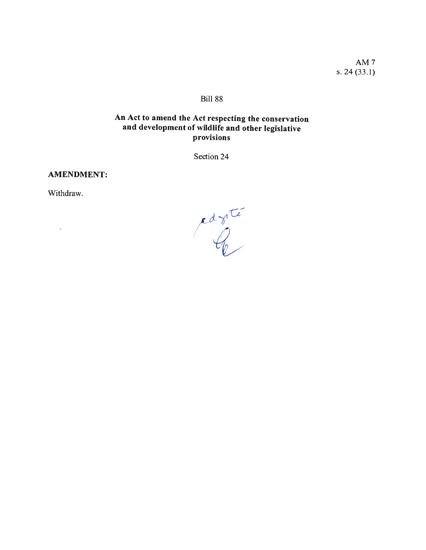AM<sub>7</sub> s.  $24(33.1)$ 

# **Bill 88**

# An Act to amend the Act respecting the conservation and development of wildlife and other legislative provisions

Section 24

**AMENDMENT:** 

Withdraw.

ä,

ragite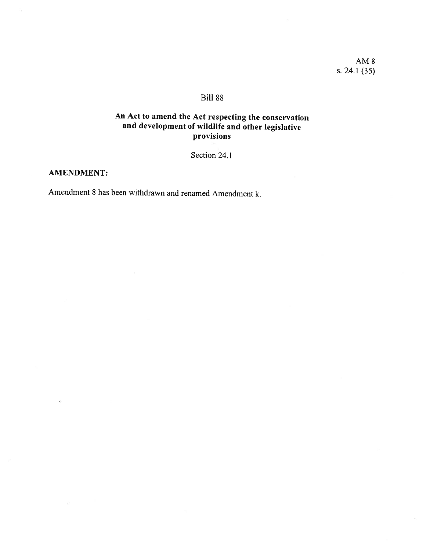AM8 s. 24.1 (35)

# Bili 88

# An Act to amend the Act respecting the conservation and development of wildlife and other legislative provisions

Section 24.1

## AMENDMENT

t,

Amendment 8 has been withdrawn and renamed Amendment k.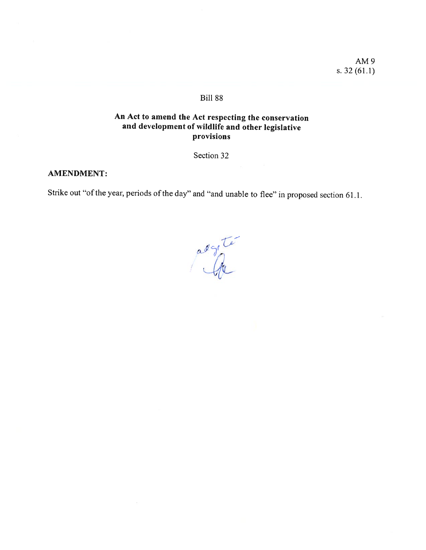AM9 s. 32(61.1)

# Bili 88

# An Act to amend the Act respecting the conservation and development of wildlife and other legislative provisions

Section 32

### AMENDMENT:

Strike out "of the year, periods of the day" and "and unable to flee" in proposed section 61.1.

asyte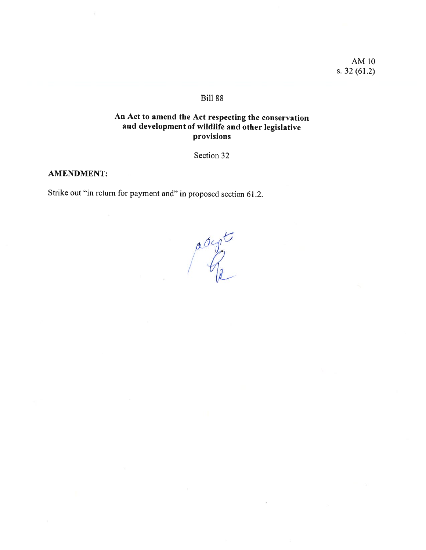AMIO s. 32(61.2)

# **Bill 88**

# An Act to amend the Act respecting the conservation and development of wildlife and other legislative provisions

Section 32

### AMENDMENT:

Strike out "in return for payment and" in proposed section 61.2.

accorte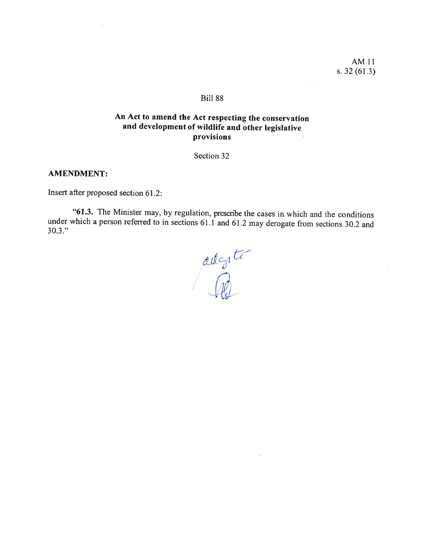AMI1 s. 32(61.3)

### Biil 88

# An Act to amend the Act respecting the conservation and development of wildlife and other legislative provisions

Section 32

### AMENDMENT:

Insert after proposed section 61 .2:

"61.3. The Minister may, by regulation, prescribe the cases in which and the conditions under which <sup>a</sup> person referred to in sections 61.1 and 61.2 may derogate from sections 30.2 and 30.3."

adonté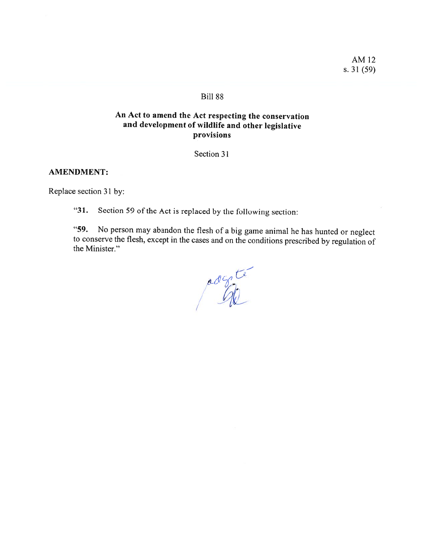AM12 s. 31(59)

## Bill 88

# An Act to amend the Act respecting the conservation and development of wildlife and other legislative provisions

Section 31

### AMENDMENT:

Replace section 31 by:

"31. Section 59 of the Act is replaced by the following section:

"59. No person may abandon the flesh of <sup>a</sup> big game animal he has hunted or neglect to conserve the flesh, except in the cases and on the conditions prescribed by regulation of the Minister."

adente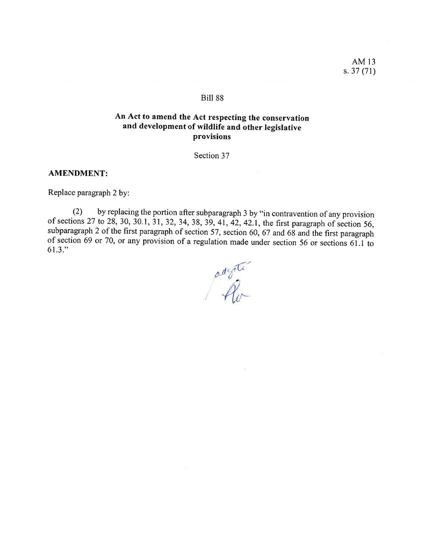AM13 s. 37 (71)

### Bili 88

# An Act to amend the Act respecting the conservation and development of wildlife and other legislative provisions

Section 37

### AMENDMENT:

Replace paragraph 2 by:

(2) by replacing the portion after subparagraph 3 by "in contravention of any provision of sections 27 to 28, 30, 30.1, 31, 32, 34, 38, 39, 41, 42, 42.1, the first paragraph of section 56, subparagraph 2 of the first para 61.3."

( /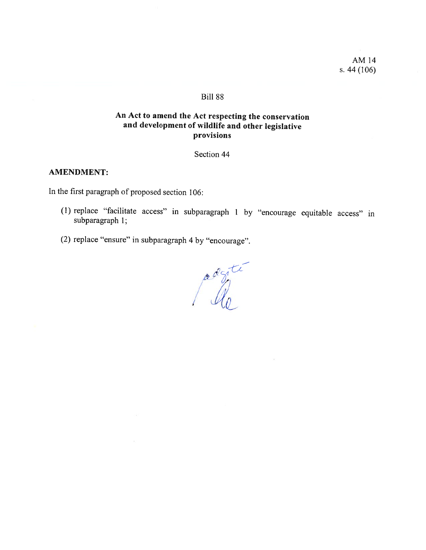## BiIl 88

# An Act to amend the Act respecting the conservation and development of wildlife and other legislative provisions

Section 44

## AMENDMENT:

In the first paragraph of proposed section 106:

- (1) replace "facilitate access" in subparagraph <sup>1</sup> by "encourage equitable access" in subparagraph 1;
- (2) replace "ensure" in subparagraph <sup>4</sup> by "encourage".

, / N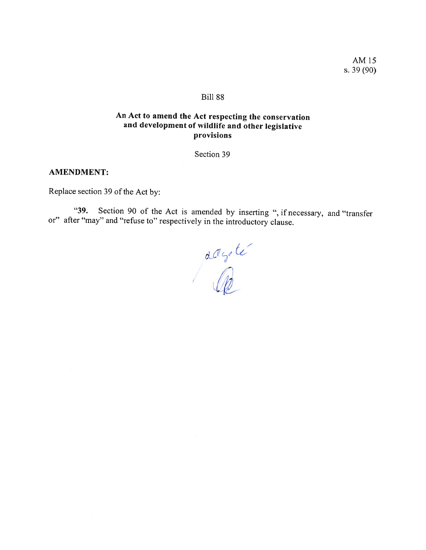AM 15 s. 39 (90)

### Bili 88

# An Act to amend the Act respecting the conservation and development of wildlife and other legislative provisions

Section 39

## AMENDMENT:

Replace section 39 of the Act by:

"39. Section 90 of the Act is amended by inserting ", if necessary, and "transfer or" after "may" and "refuse to" respectively in the introductory clause.

aagte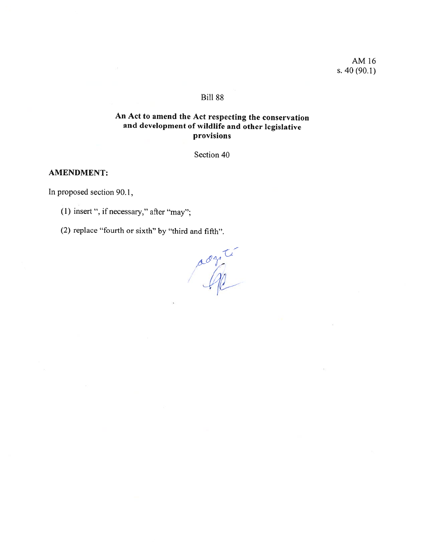AM16 s. 40 (90.1)

## **Bill 88**

# An Act to amend the Act respecting the conservation and development of wildlife and other legislative provisions

Section 40

## AMENDMENT:

In proposed section 90.1,

(1) insert ", if necessary," after "may";

(2) replace "fourth or sixth" by "third and fifth".

' 1\_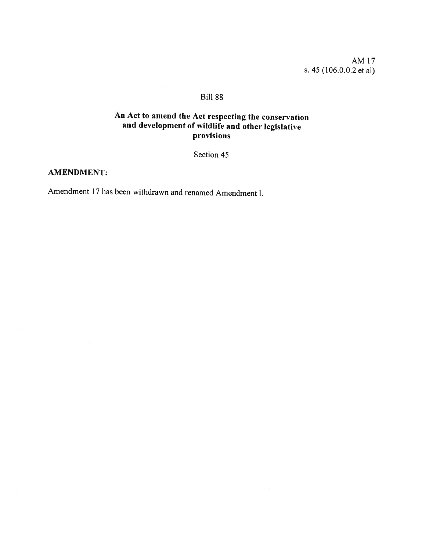AM17 s. 45(106.0.0.2 et ai)

## Bili 88

# An Act to amend the Act respecting the conservation and development of wildlife and other legislative provisions

Section 45

## AMENDMENT:

Amendment 17 has been withdrawn and renamed Amendment l.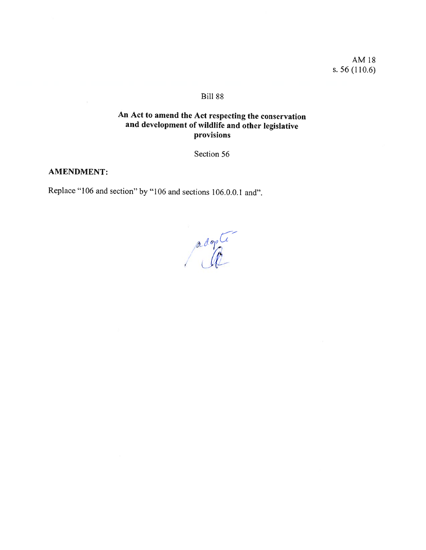AM18 s. 56 (110.6)

## **Bill 88**

# An Act to amend the Act respecting the conservation and development of wildlife and other legislative provisions

Section 56

### AMENDMENT:

Replace "106 and section" by "106 and sections 106.0.0.1 and".

L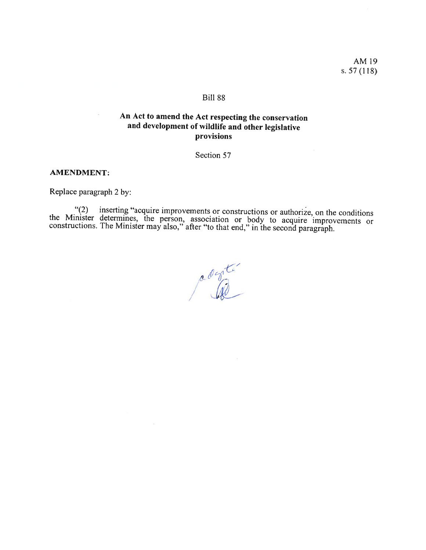AM19 s. 57 (118)

## Bili 88

# An Act to amend the Act respecting the conservation and development of wildlife and other legislative provisions

Section 57

### AMENDMENT:

Replace paragraph <sup>2</sup> by:

"(2) inserting "acquire improvements or constructions or authorize, on the conditions<br>the Minister determines, the person, association or body to acquire improvements or<br>constructions. The Minister may also," after "to tha

z 4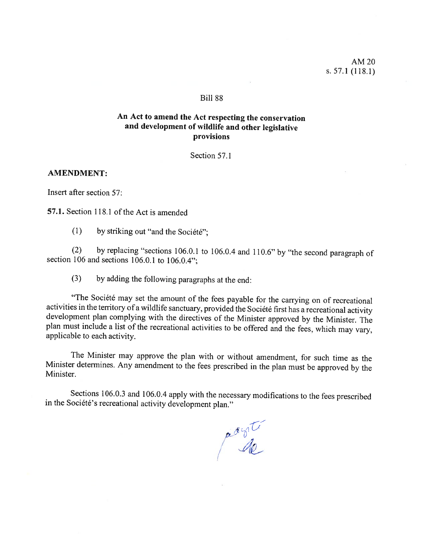### Bili 88

## An Act to amend the Act respecting the conservation and development of wildlife and other legislative provisions

Section 57.1

### AMENDMENT:

Insert after section 57:

57.1. Section 118.1 of the Act is amended

(1) by striking out "and the Société";

(2) by replacing "sections 106.0.1 to 106.0.4 and 110.6" by "the second paragraph of section 106 and sections 106.0.1 to 106.0.4";

(3) by adding the following paragraphs at the end:

"The Société may set the amount of the fees payable for the carrying on of recreational activities in the territory of a wildlife sanctuary, provided the Société first has a recreational activity development plan complying <sup>p</sup>lan must include <sup>a</sup> list of the recreational activities to be offered and the fees, which may vary. applicable to each activity.

The Minister may approve the <sup>p</sup>lan with or without amendrnent, for such time as the Minister determines. Any amendment to the fees prescribed in the <sup>p</sup>lan must be approved by the Minister.

Sections 106.0.3 and 106.0.4 apply with the necessary modifications to the fees prescribed in the Société's recreational activity development <sup>p</sup>lan."

ador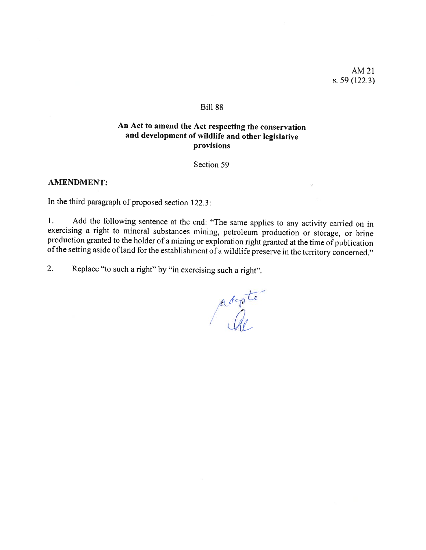AM21 s. 59 (122.3)

#### Bili 88

# An Act to amend the Act respecting the conservation and development of wildlife and other legislative provisions

Section 59

#### AMENDMENT:

In the third paragraph of proposed section  $122.3$ :

1. Add the following sentence at the end: "The same applies to any activity carried on in exercising a right to mineral substances mining, petroleum production or storage, or brine production granted to the holder of a min

2. Replace "to such <sup>a</sup> right" by "in exercising such <sup>a</sup> right".

/ / <sup>1</sup>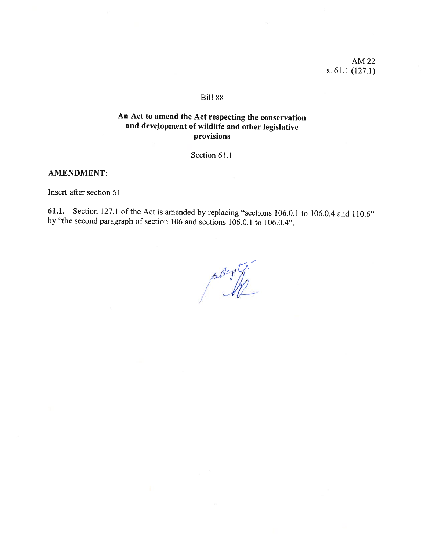AM22 s. 61.1 (127.1)

#### **Bill 88**

# An Act to amend the Act respecting the conservation and development of wildlife and other legislative provisions

Section 61.1

### AMENDMENT:

Insert after section 61:

61.1. Section 127.1 of the Act is amended by replacing "sections 106.0.1 to 106.0.4 and 110.6" by "the second paragraph of section 106 and sections 106.0.1 to 106.0.4".

adegrée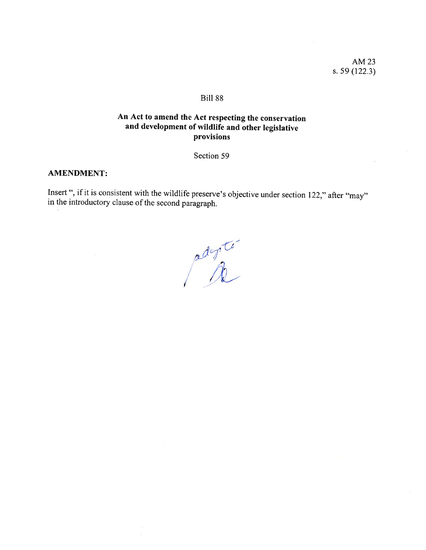AM23 s. 59 (122.3)

### BiIl 88

# An Act to amend the Act respecting the conservation and development of wildlife and other legislative provisions

Section 59

### AMENDMENT:

Insert ", if it is consistent with the wildlife preserve's objective under section 122," after "may" in the introductory clause of the second paragraph.

adepté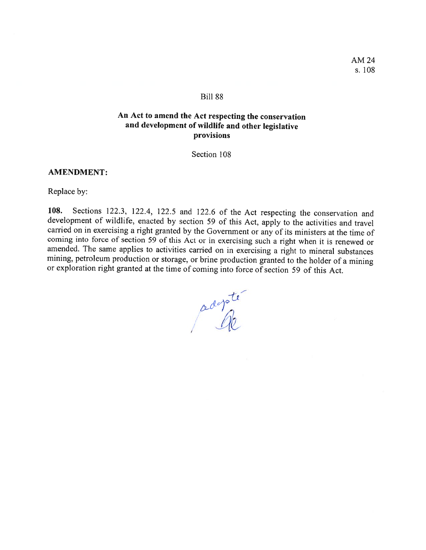AM24 s. 108

### Bili 88

## An Act to amend the Act respecting the conservation and development of wildlife and other legislative provisions

Section 108

### AMENDMENT:

Replace by:

108. Sections 122.3, 122.4, 122.5 and 122.6 of the Act respecting the conservation and developrnent of wildlife, enacted by section <sup>59</sup> of this Act, apply to the activities and travel carried on in exercising a right granted by the Government or any of its ministers at the time of coming into force of section <sup>59</sup> of this Act or in exercising such <sup>a</sup> right when it is renewed or amended. The same applies to activities carried on in exercising <sup>a</sup> right to minerai substances mining, petroleum production or storage, or brine production granted to the holder of <sup>a</sup> mining or exploration right granted at the time of coming into force of section <sup>59</sup> of this Act.

adopte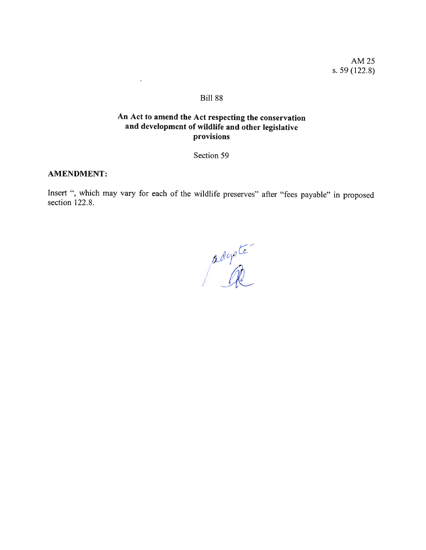AM 25 s. 59 (122.8)

### Biil 88

## An Act to amend the Act respecting the conservation and development of wildlife and other legislative provisions

Section 59

### AMENDMENT:

Insert ", which may vary for each of the wildlife preserves" afler "fees payable" in proposed section 122.8.

adopter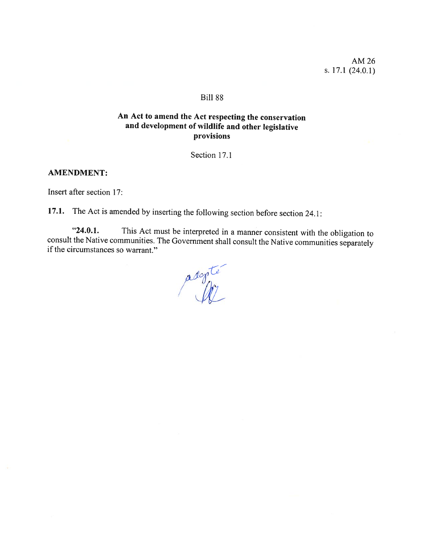### **Bill 88**

# An Act to amend the Act respecting the conservation and development of wildlife and other legislative provisions

Section 17.1

### AMENDMENT:

Insert after section 17:

17.1. The Act is amended by inserting the following section before section 24.1:

"24.0.1. This Act must be interpreted in <sup>a</sup> manner consistent with the obligation to consuit the Native communities. The Government shah consuit the Native communities separately if the circurnstances so warrant."

adopte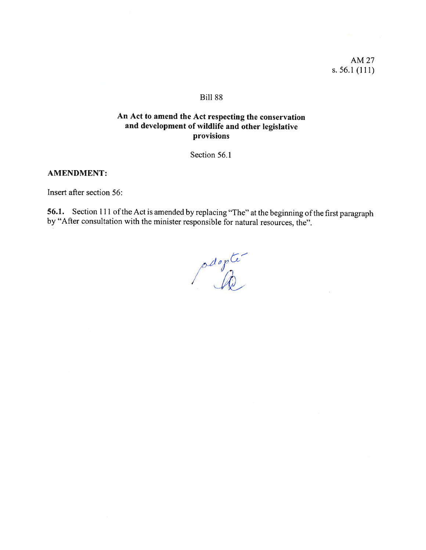AM 27 s.  $56.1(111)$ 

## Bill 88

# An Act to amend the Act respecting the conservation and development of wildlife and other legislative provisions

Section 56.1

### **AMENDMENT:**

Insert after section 56:

56.1. Section 111 of the Act is amended by replacing "The" at the beginning of the first paragraph by "After consultation with the minister responsible for natural resources, the".

pagete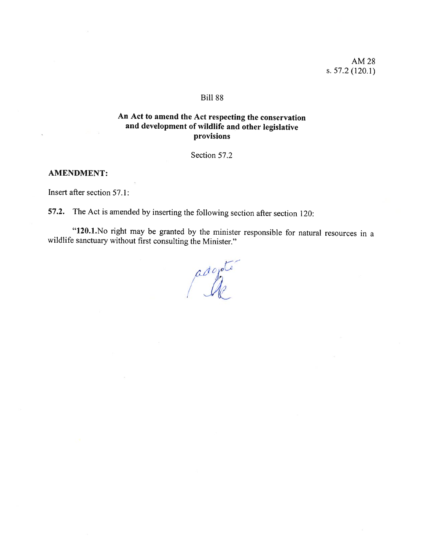### BilI 88

## An Act to amend the Act respecting the conservation and development of wildlife and other legislative provisions

Section 57.2

### AMENDMENT:

Insert afier section 57.1:

57.2. The Act is amended by inserting the following section after section 120:

"120.1.No right may be granted by the minister responsible for natural resources in <sup>a</sup> wildlife sanctuary without first consulting the Minister."

adojate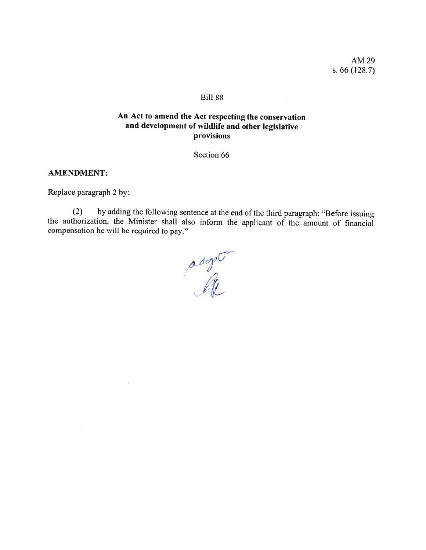AM29 s. 66 (128.7)

### BiIl 88

## An Act to amend the Act respecting the conservation and development of wildlife and other legislative provisions

Section 66

#### AMENDMENT:

Replace paragraph 2 by:

(2) by adding the following sentence at the end of the third paragraph: "Before issuing the authorization, the Minister shall also inform the applicant of the amount of financial compensation he will be required to pay."

 $\frac{a\log d}{a}$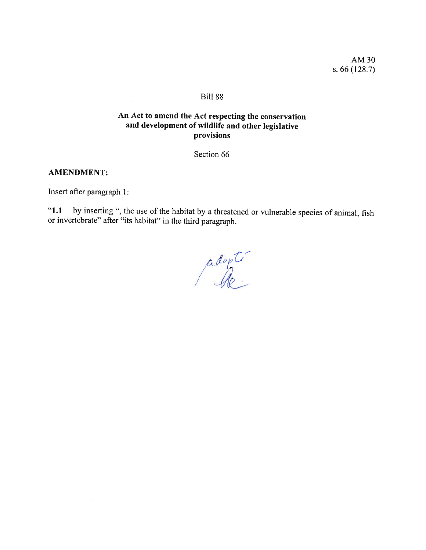AM3O s. 66 (128.7)

## Bili 88

# An Act to amend the Act respecting the conservation and development of wildlife and other legislative provisions

Section 66

## **AMENDMENT:**

Insert afier paragraph 1:

"1.1 by inserting", the use of the habitat by <sup>a</sup> threatened or vulnerable species of animal, fish or invertebrate" afier "its habitat" in the third paragraph.

: 'S,,, S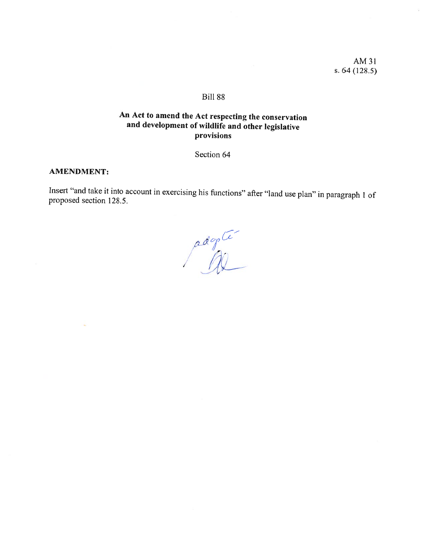AM31 s. 64 (128.5)

## BilI 88

# An Act to amend the Act respecting the conservation and development of wildlife and other legislative provisions

Section 64

### AMENDMENT:

Insert "and take it into account in exercising his functions" after "land use <sup>p</sup>lan" in paragraph <sup>1</sup> of proposed section 128.5.

adopte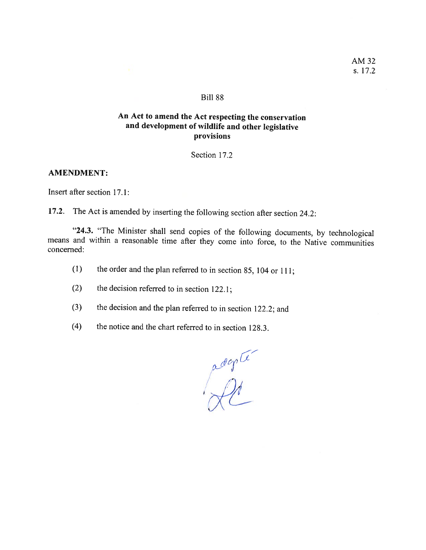#### **Bill 88**

## An Act to amend the Act respecting the conservation and development of wildlife and other legislative provisions

Section 17.2

### AMENDMENT:

Insert afier section 17.1:

17.2. The Act is amended by inserting the following section after section 24.2:

"24.3. "The Minister shall send copies of the following documents, by technological means and within a reasonable time after they come into force, to the Native communities concerned:

- (1) the order and the <sup>p</sup>lan referred to in section 85, <sup>104</sup> or 111;
- (2) the decision referred to in section 122.1;
- (3) the decision and the <sup>p</sup>lan referred to in section 122.2; and
- (4) the notice and the chart referred to in section 128.3.

adopter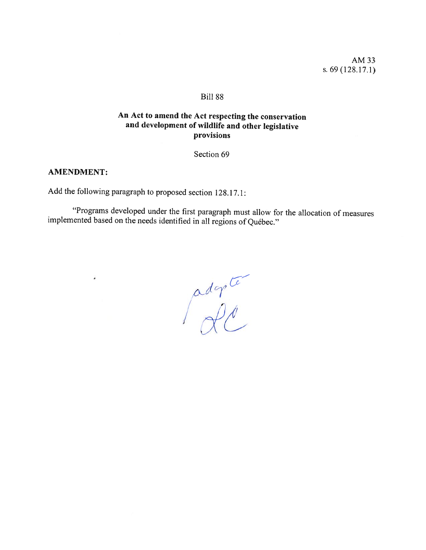AM33 s. 69 (128.17.1)

## Biil 88

# An Act to amend the Act respecting the conservation and development of wildlife and other legislative provisions

Section 69

## AMENDMENT:

 $\bullet$ 

Add the following paragraph to proposed section 128.17.1:

"Programs developed under the first paragraph must allow for the allocation of measures implemented based on the needs identified in all regions of Québec."

 $\int_{\gamma}^{\alpha}d\varphi^{\alpha}$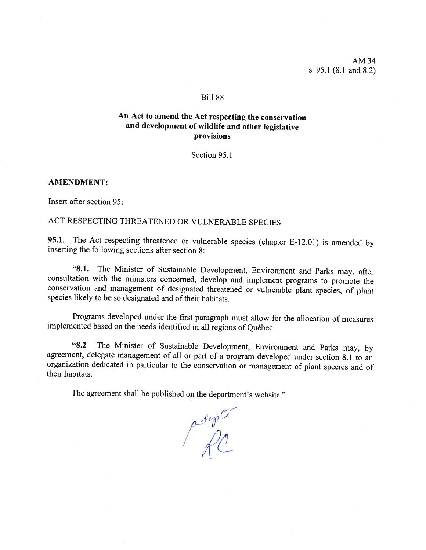AM34 s. 95.1 (8.1 and 8.2)

#### Bili 88

## An Act to amend the Act respecting the conservation and development of wildlife and other legislative provisions

Section 95.1

#### AMENDMENT:

Insert after section 95:

# ACT RESPECTING THREATENED OR VULNERABLE SPECIES

95.1. The Act respecting threatened or vuinerable species (chapter E-12.01) is amended by inserting the following sections after section 8:

"8.1. The Minister of Sustainable Development, Environment and Parks may, after consultation with the ministers concerned, develop and implement programs to promote the conservation and management of designated threatened species likely to be so designated and of their habitats.

Programs developed under the first paragraph must allow for the allocation of measures implemented based on the needs identified in all regions of Québec.

"8.2 The Minister of Sustainable Development, Environment and Parks may, by agreement, delegate management of ail or part of <sup>a</sup> program developed under section 8. <sup>1</sup> to an organization dedicated in particular to the conservation or management of <sup>p</sup>lant species and of their habitats.

The agreement shall be published on the department's website."

port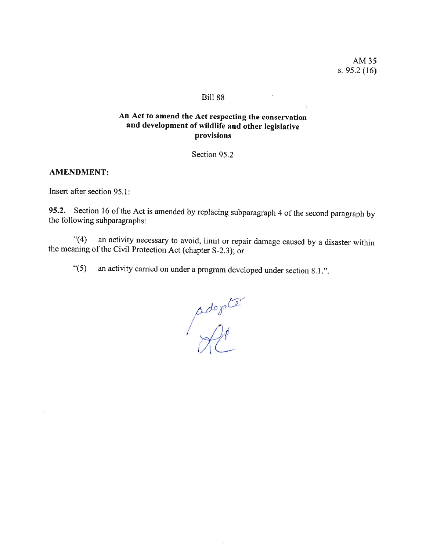AM35 s. 95.2 (16)

### **Bill 88**

# An Act to amend the Act respecting the conservation and development of wildlife and other legislative provisions

Section 95.2

### AMENDMENT:

Insert after section 95.1:

95.2. Section 16 of the Act is amended by replacing subparagraph 4 of the second paragraph by the following subparagraphs:

"(4) an activity necessary to avoid, lirnit or repair damage caused by <sup>a</sup> disaster within the meaning of the Civil Protection Act (chapter S-2.3); or

"(5) an activity carried on under <sup>a</sup> program developed under section 8.1 .".

adopter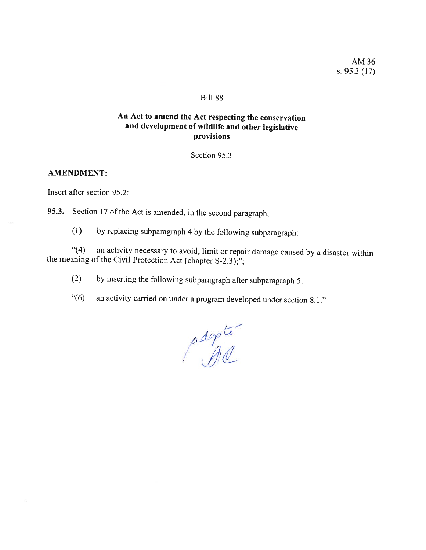#### BiIl 88

# An Act to amend the Act respecting the conservation and development of wildlife and other legislative provisions

Section 95.3

### AMENDMENT:

Insert after section 95.2:

95.3. Section 17 of the Act is amended, in the second paragraph,

(1) by replacing subparagraph <sup>4</sup> by the following subparagraph:

"(4) an activity necessary to avoid, limit or repair damage caused by a disaster within the meaning of the Civil Protection Act (chapter S-2.3);";

(2) by inserting the following subparagraph afier subparagraph 5:

"(6) an activity carried on under <sup>a</sup> program developed under section 8.1."

 $4n$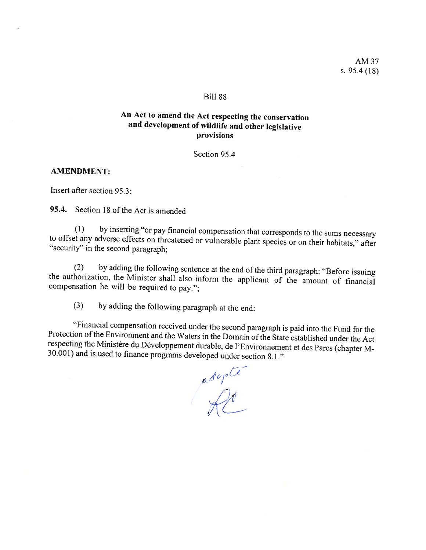#### Biil 88

## An Act to amend the Act respecting the conservation and development of wildlife and other legislative provisions

Section 95.4

### AMENDMENT:

Insert after section 95.3:

95.4. Section 18 of the Act is amended

(1) by inserting 'or pay financial compensation that corresponds to the sums necessary to offset any adverse effects on threatened or vuinerable <sup>p</sup>lant species or on their habitats," after "security" in the second paragraph;

(2) by adding the following sentence at the end of the third paragraph: "Before issuing the authorization, the Minister shall also inform the applicant of the amount of financial compensation he will be required to pay.";

(3) by adding the following paragraph at the end:

"Financial compensation received under the second paragraph is paid into the Fund for the Protection of the Environment and the Waters in the Domain of the State established under the Act respecting the Ministère du Dévelo

 $\mathscr{L}$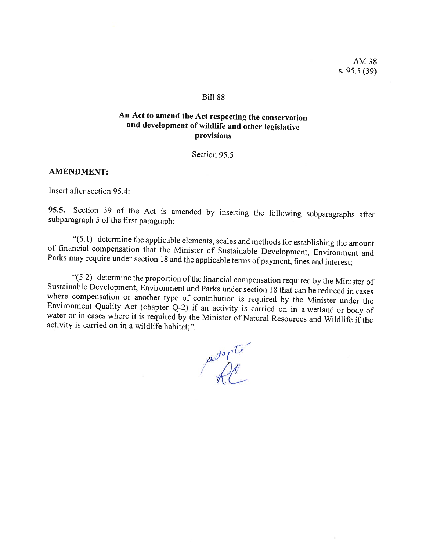#### Bili 88

## An Act to amend the Act respecting the conservation and development of wildlife and other legislative provisions

Section 95.5

### AMENDMENT:

Insert afier section 95.4:

95.5. Section <sup>39</sup> of the Act is amended by inserting the following subparagraphs after subparagraph <sup>5</sup> of the first paragraph:

"(5.1) determine the applicable elements, scales and methods for establishing the amount<br>of financial compensation that the Minister of Sustainable Development, Environment and<br>Parks may require under section 18 and the ap

"(5.2) determine the proportion of the financial compensation required by the Minister of<br>Sustainable Development, Environment and Parks under section 18 that can be reduced in cases<br>where compensation or another type of

adopu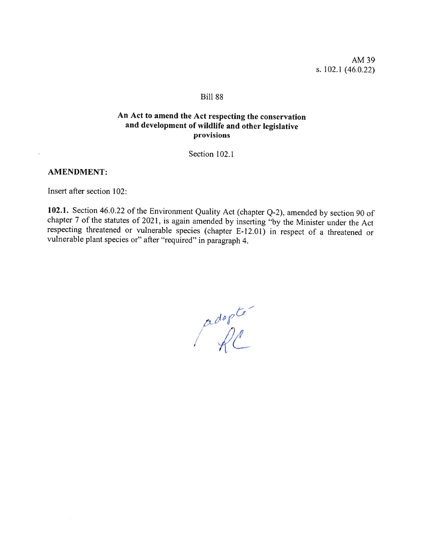AM39 s. 102.1 (46.0.22)

### **Bill 88**

## An Act to amend the Act respecting the conservation and development of wildlife and other legislative provisions

Section 102.1

### AMENDMENT:

Insert after section 102:

102.1. Section 46.0.22 of the Environment Quality Act (chapter Q-2), amended by section 90 of chapter 7 of the statutes of 2021, is again amended by inserting "by the Minister under the Act respecting threatened or vuinerable species (chapter E-12.01) in respect of <sup>a</sup> threatened or vuinerable <sup>p</sup>lant species or" afier "required" in paragraph 4.

 $\int_{0}^{\alpha d\sigma\rho}$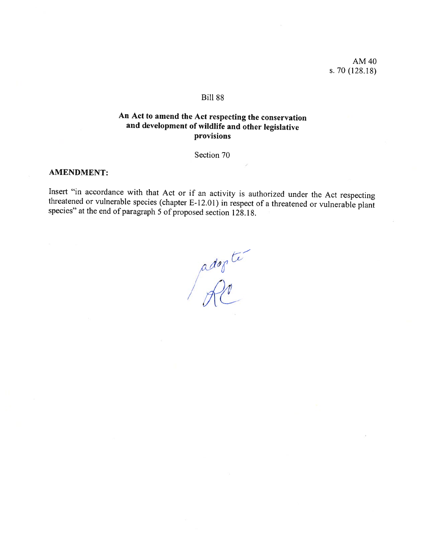AM 40 s. 70 (128.18)

### Bili 88

# An Act to amend the Act respecting the conservation and development of wildlife and other legislative provisions

Section 70

### AMENDMENT:

Insert "in accordance with that Act or if an activity is authorized under the Act respecting threatened or vulnerable species (chapter E-12.01) in respect of a threatened or vulnerable plant species" at the end of paragraph 5 of proposed section 128.18.

adopte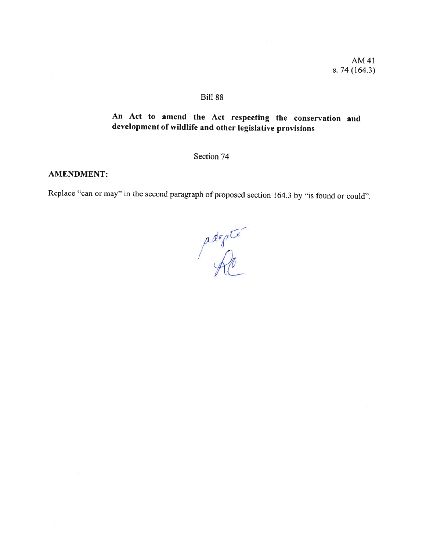## Bili 88

# An Act to amend the Act respecting the conservation and development of wildlife and other legislative provisions

Section 74

### AMENDMENT:

Replace "can or may" in the second paragraph of proposed section 164.3 by "is found or could".

adopte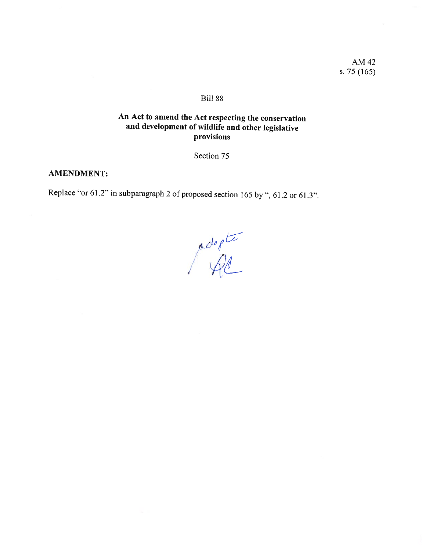AM 42 s.  $75(165)$ 

## **Bill 88**

# An Act to amend the Act respecting the conservation and development of wildlife and other legislative provisions

Section 75

### **AMENDMENT:**

Replace "or 61.2" in subparagraph 2 of proposed section 165 by ", 61.2 or 61.3".

 $\rho_{\text{def}}$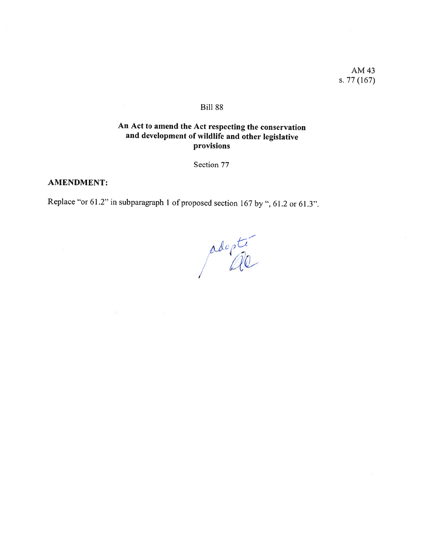AM 43 s.  $77(167)$ 

### Bill 88

# An Act to amend the Act respecting the conservation and development of wildlife and other legislative provisions

Section 77

#### **AMENDMENT:**

Replace "or 61.2" in subparagraph 1 of proposed section 167 by ", 61.2 or 61.3".

adopté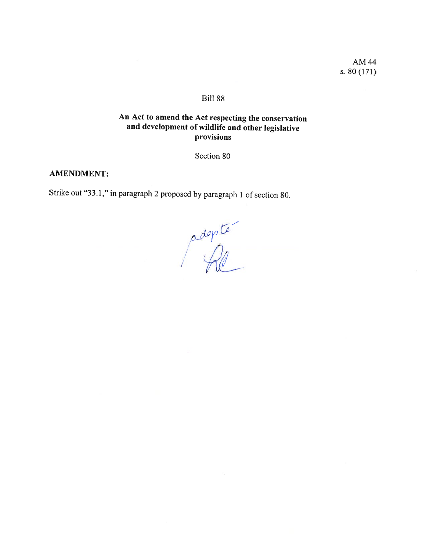AM44 s. 80(171)

## BiIl 88

# An Act to amend the Act respecting the conservation and development of wildlife and other legislative provisions

Section 80

## AMENDMENT:

Strike out "33.1," in paragraph <sup>2</sup> proposed by paragraph <sup>I</sup> of section 80.

adopte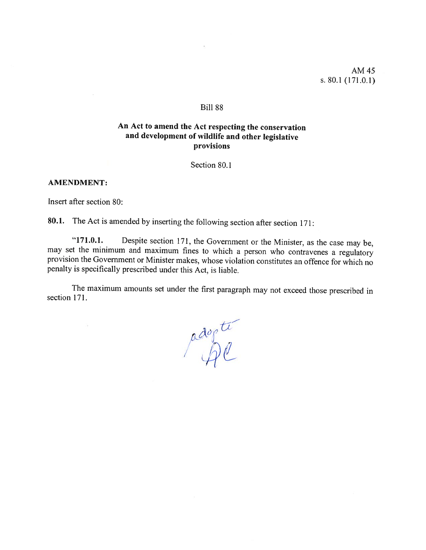### **Bill 88**

# An Act to amend the Act respecting the conservation and development of wildlife and other legislative provisions

Section 80.1

#### AMENDMENT:

Insert after section 80:

80.1. The Act is amended by inserting the following section after section 171:

"171.0.1. Despite section 171, the Government or the Minister, as the case may be, may set the minimum and maximum fines to which a person who contravenes a regulatory provision the Government or Minister makes, whose violation constitutes an offence for which no penalty is specifically prescribed under this Act, is liable.

The maximum amounts set under the first paragraph may not exceed those prescribed in section 171.

adopte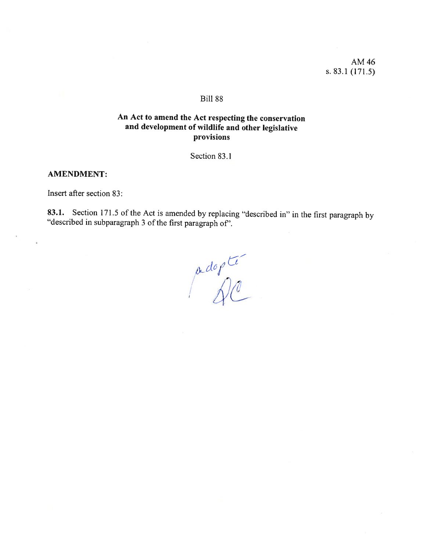AM 46 s. 83.1 $(171.5)$ 

### **Bill 88**

## An Act to amend the Act respecting the conservation and development of wildlife and other legislative provisions

Section 83.1

#### **AMENDMENT:**

Insert after section 83:

83.1. Section 171.5 of the Act is amended by replacing "described in" in the first paragraph by "described in subparagraph 3 of the first paragraph of".

 $\int d^{q}$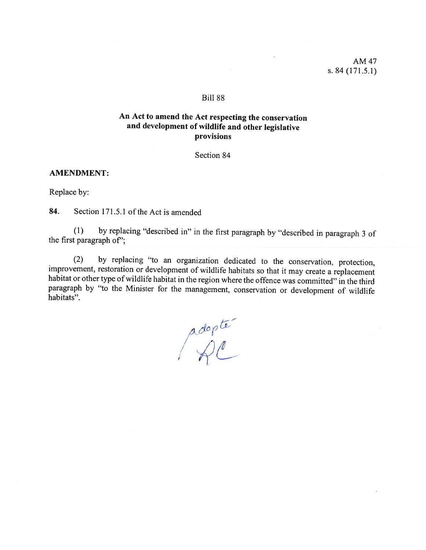AM47 s. 84(171.5.1)

### **Bill 88**

## An Act to amend the Act respecting the conservation and development of wildlife and other legislative provisions

Section 84

#### AMENDMENT:

Replace by:

84. Section 171.5.1 of the Act is amended

(1) by replacing "described in" in the first paragrap<sup>h</sup> by "described in paragrap<sup>h</sup> <sup>3</sup> of the first paragrap<sup>h</sup> of';

(2) by replacing "to an organization dedicated to the conservation, protection, improvement, restoration or development of wildlife habitats so that it may create a replacement habitat or other type of wildlife habitat in paragraph by "to the Minister for the management, conservation or development of wildlife habitats".

 $\mathcal{O}$ fi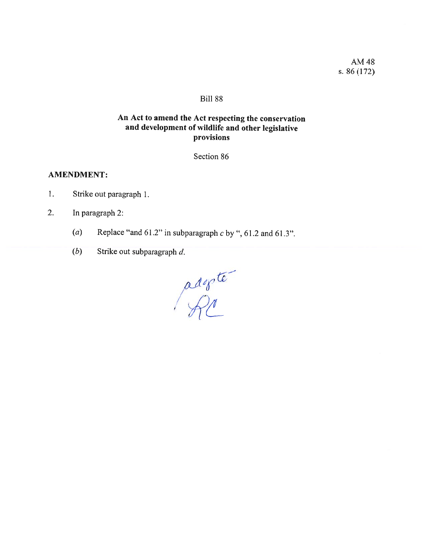AM48 s. 86(172)

## Bili 88

# An Act to amend the Act respecting the conservation and development of wildlife and other legislative provisions

Section 86

### AMENDMENT:

- 1. Strike out paragraph 1.
- 2. In paragraph 2:
	- (a) Replace "and  $61.2$ " in subparagraph c by ",  $61.2$  and  $61.3$ ".
	- (b) Strike out subparagraph d.

adopte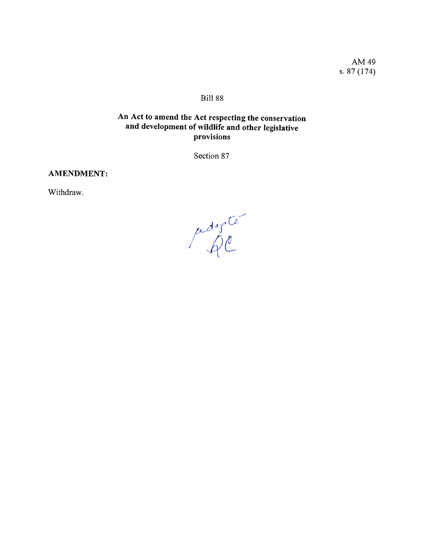AM49 s. 87(174)

## Bili 88

# An Act to amend the Act respecting the conservation and development of wildlife and other legislative provisions

Section 87

## AMENDMENT:

Withdraw.

pedogte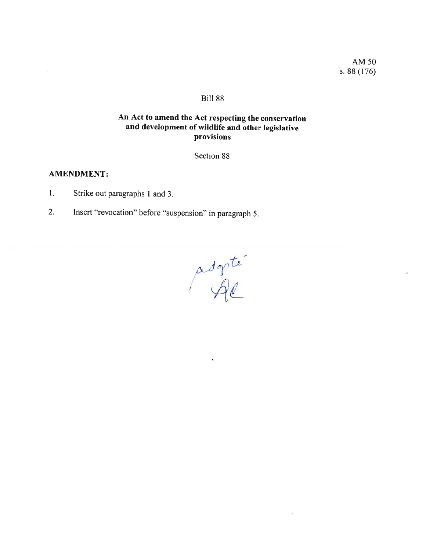AM5O s. 88(176)

## Bili 88

# An Act to amend the Act respecting the conservation and development of wildlife and other legislative provisions

Section 88

### AMENDMENT:

- 1. Strike out paragraphs 1 and 3.
- 2. Insert "revocation" before "suspension" in paragraph 5.

li—  $\alpha$ <sup>-</sup>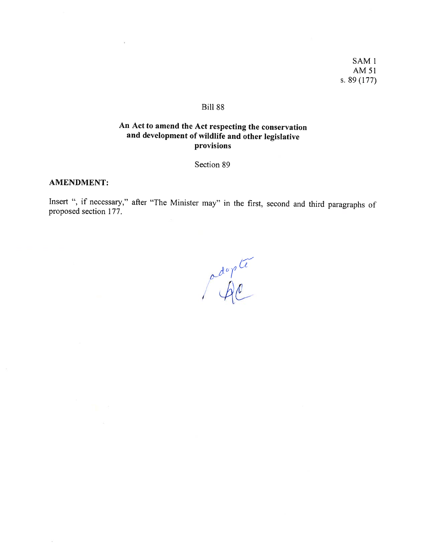SAM1 AM51 s. 89 (177)

#### Bili 88

# An Act to amend the Act respecting the conservation and development of wildlife and other legislative provisions

Section 89

#### AMENDMENT:

Insert ", if necessary," after "The Minister may" in the first, second and third paragraphs of proposed section 177.

pdopte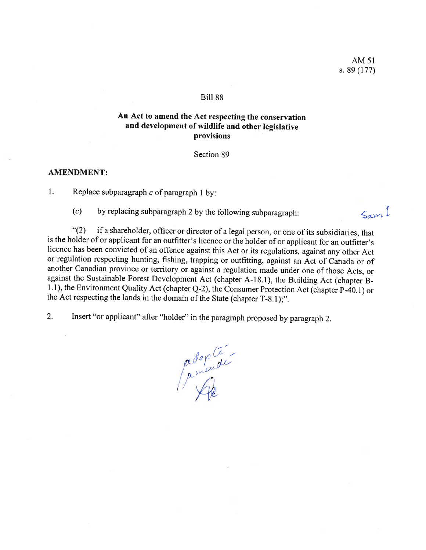$\zeta$ am<sup>1</sup>

### Bili 88

## An Act to amend the Act respecting the conservation and development of wildlife and other legislative provisions

Section 89

### AMENDMENT:

1. Replace subparagraph  $c$  of paragraph 1 by:

 $(c)$  by replacing subparagraph 2 by the following subparagraph:

"(2) if a shareholder, officer or director of a legal person, or one of its subsidiaries, that is the holder of or applicant for an outfitter's licence or the holder of or applicant for an outfitter's licence bas been convicted of an offence against this Act or its regulations, against any other Act or regulation respecting hunting, fishing, trapping or outfitting, against an Act of Canada or of another Canadian province or territory or against a regulation made under one of those Acts, or against the Sustainable Forest Development Act (chapter A-18.1), the Building Act (chapter B-1.1), the Environment Quality Act (chapter Q-2), the Consumer Protection Act (chapter P-40.1) or the Act respecting the lands in the domain of the State (chapter T-8.1);".

2. Insert "or applicant" after "holder" in the paragraph proposed by paragraph 2.

/—  $^{\circ}$  / /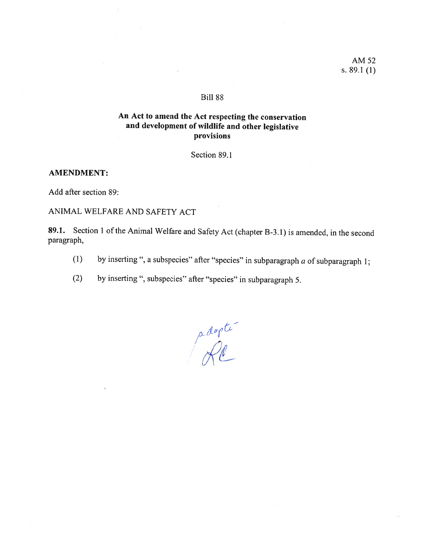AM 52 s. 89.1 $(1)$ 

## **Bill 88**

# An Act to amend the Act respecting the conservation and development of wildlife and other legislative provisions

Section 89.1

### **AMENDMENT:**

Add after section 89:

ANIMAL WELFARE AND SAFETY ACT

89.1. Section 1 of the Animal Welfare and Safety Act (chapter B-3.1) is amended, in the second paragraph,

- by inserting ", a subspecies" after "species" in subparagraph  $a$  of subparagraph 1;  $(1)$
- $(2)$ by inserting ", subspecies" after "species" in subparagraph 5.

adopte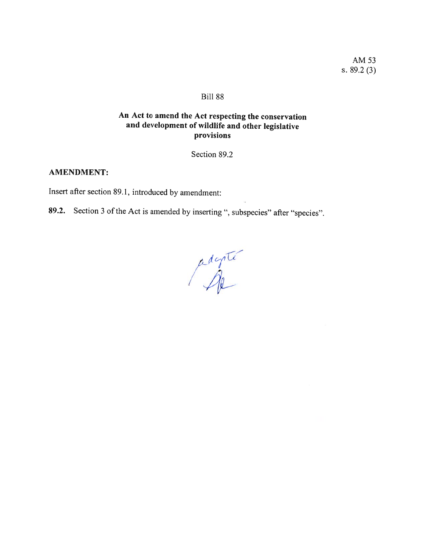AM 53 s.  $89.2(3)$ 

### Bill 88

# An Act to amend the Act respecting the conservation and development of wildlife and other legislative provisions

Section 89.2

## **AMENDMENT:**

Insert after section 89.1, introduced by amendment:

89.2. Section 3 of the Act is amended by inserting ", subspecies" after "species".

adapter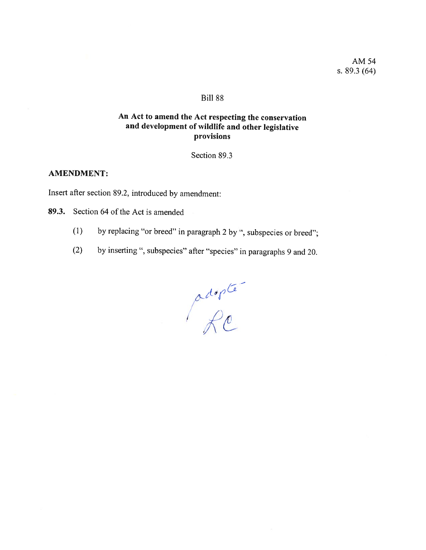### **Bill 88**

# An Act to amend the Act respecting the conservation and development of wildlife and other legislative provisions

Section 89.3

### **AMENDMENT:**

Insert after section 89.2, introduced by amendment:

89.3. Section 64 of the Act is amended

- by replacing "or breed" in paragraph 2 by ", subspecies or breed";  $(1)$
- by inserting ", subspecies" after "species" in paragraphs 9 and 20.  $(2)$

adopte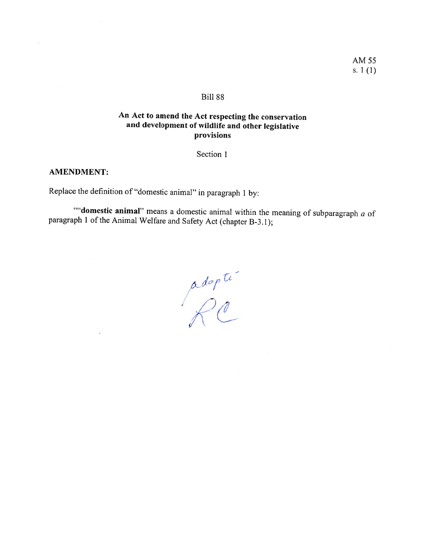### **Bill 88**

# An Act to amend the Act respecting the conservation and development of wildlife and other legislative provisions

Section 1

## AMENDMENT:

 $\tilde{\mathbf{z}}$ 

Replace the definition of "domestic animal" in paragraph 1 by:

""domestic animal" means a domestic animal within the meaning of subparagraph a of paragraph 1 of the Animal Welfare and Safety Act (chapter B-3.1);

adopte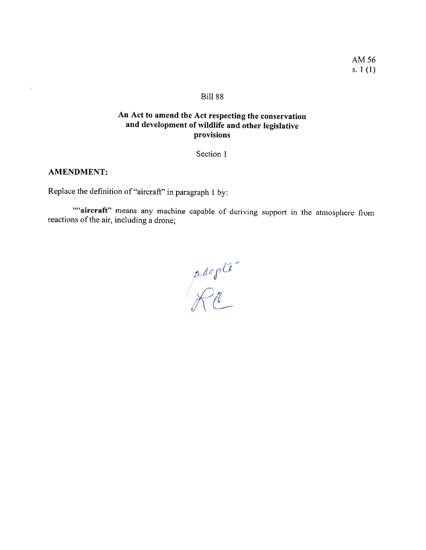### BilI 88

# An Act to amend the Act respecting the conservation and development of wildlife and other legislative provisions

Section 1

## AMENDMENT:

ă

Replace the definition of "aircraft" in paragraph 1 by:

""aircraft" means any machine capable of deriving support in the atmosphere from reactions of the air, including a drone;

/ /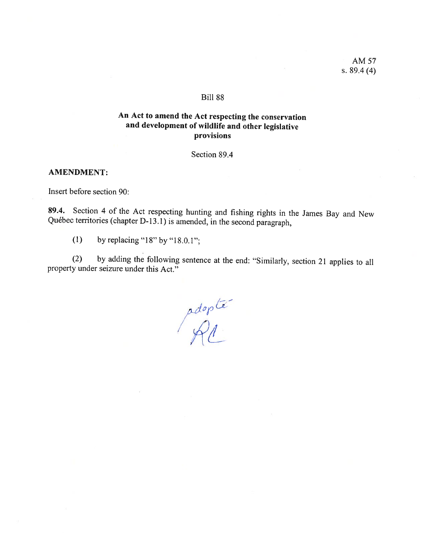AM 57 s. 89.4 (4)

### Bili 88

# An Act to amend the Act respecting the conservation and development of wildlife and other legislative provisions

Section 89.4

### AMENDMENT:

Insert before section 90:

89.4. Section 4 of the Act respecting hunting and fishing rights in the James Bay and New Québec territories (chapter D-13.1) is amended, in the second paragraph,

(1) by replacing "18" by "18.0.1";

(2) by adding the following sentence at the end: "Similarly, section 21 applies to all property under seizure under this Act."

paop 'At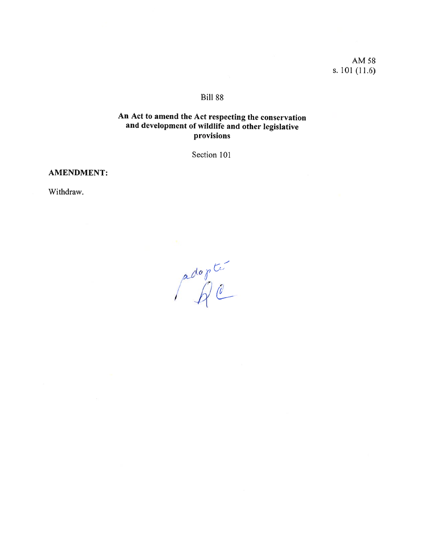AM58 s. 101 (11.6)

# Bili 88

# An Act to amend the Act respecting the conservation and development of wildlife and other legislative provisions

Section 101

### AMENDMENT:

Withdraw.

 $\alpha$ /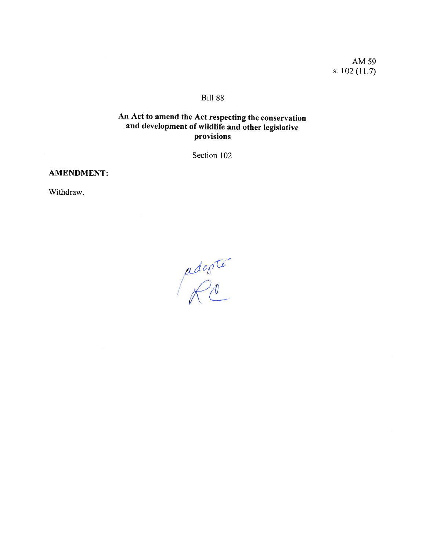AM 59 s.  $102(11.7)$ 

# **Bill 88**

# An Act to amend the Act respecting the conservation and development of wildlife and other legislative provisions

Section 102

## **AMENDMENT:**

Withdraw.

adopté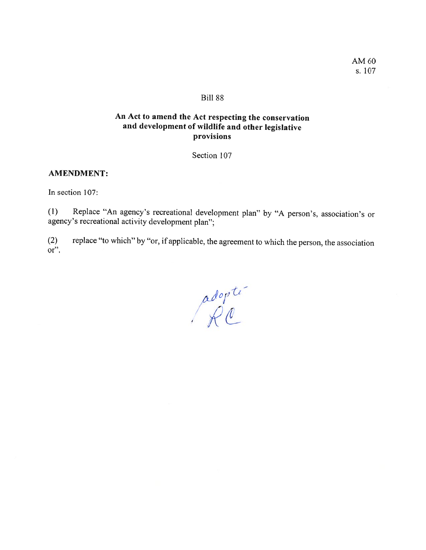## **Bill 88**

# An Act to amend the Act respecting the conservation and development of wildlife and other legislative provisions

Section 107

### AMENDMENT:

In section 107:

(1) Replace "An agency's recreational developrnent <sup>p</sup>lan" by "A person's, association's or agency's recreational activity development plan";

(2) replace "to which" by "or, if applicable, the agreement to which the person. the association or".

adopte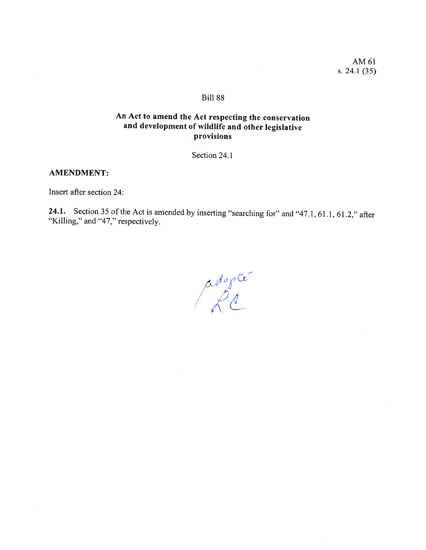AM 61 s. 24.1 $(35)$ 

### **Bill 88**

# An Act to amend the Act respecting the conservation and development of wildlife and other legislative provisions

Section 24.1

## **AMENDMENT:**

Insert after section 24:

24.1. Section 35 of the Act is amended by inserting "searching for" and "47.1, 61.1, 61.2," after "Killing," and "47," respectively.

adopte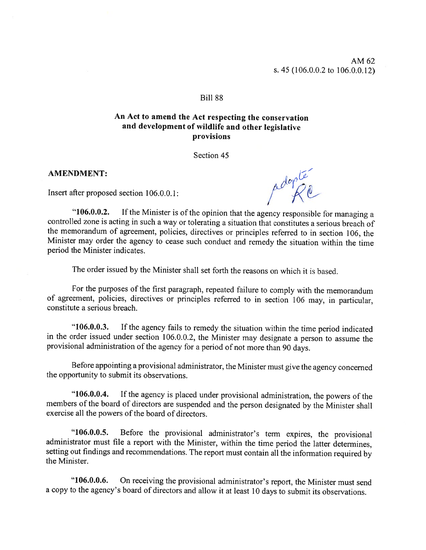AM62 s. 45 (106.0.0.2 to 106.0.0.12)

### **Bill 88**

## An Act to amend the Act respecting the conservation and development of wildlife and other legislative provisions

Section 45

### AMENDMENT:

Insert after proposed section  $106.0.0.1$ :

 $\mathcal{O}^{\mathcal{O}}$ /

"106.0.0.2. If the Minister is of the opinion that the agency responsible for managing a controlled zone is acting in such a way or tolerating a situation that constitutes a serious breach of the memorandum of agreement, policies, directives or principles referred to in section 106, the Minister may order the agency to cease such conduct and remedy the situation within the time period the Minister indicates.

The order issued by the Minister shall set forth the reasons on which it is based.

For the purposes of the first paragraph, repeated failure to comply with the memorandum of agreement, policies, directives or principles referred to in section <sup>106</sup> may, in particular, constitute <sup>a</sup> serious breach.

"106.0.0.3. If the agency fails to remedy the situation within the time period indicated in the order issued under section 106.0.0.2, the Minister may designate <sup>a</sup> person to assume the provisional administration of the agency for a period of not more than 90 days.

Before appointing <sup>a</sup> provisional administrator, the Minister must <sup>g</sup>ive the agency concerned the opportunity to submit its observations.

"106.0.0.4. If the agency is <sup>p</sup>laced under provisional administration. the powers of the members of the board of directors are suspended and the person designated by the Minister shall exercise ail the powers of the board of directors.

"106.0.0.5. Before the provisional administrator's term expires, the provisional administrator must file a report with the Minister, within the time period the latter determines, setting out findings and recommendations. The report must contain ail the information required by the Minister.

"106.0.0.6. On receiving the provisional administrator's report, the Minister must send a copy to the agency's board of directors and allow it at least 10 days to submit its observations.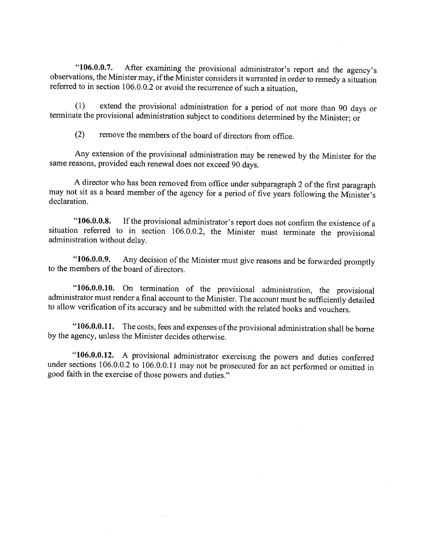"106.0.0.7. After examining the provisional administrator's report and the agency's observations, the Minister may, if the Minister considers it warranted in order to remedy a situation referred to in section 106.0.0.2 or

(1) extend the provisional administration for a period of not more than 90 days or terminate the provisional administration subject to conditions determined by the Minister; or

 $(2)$  remove the members of the board of directors from office.

Any extension of the provisional administration may be renewed by the Minister for the same reasons, provided eacb renewal does not exceed <sup>90</sup> days.

<sup>A</sup> director who bas been removed from office under subparagraph <sup>2</sup> of the first paragrap<sup>h</sup> may not sit as a board member of the agency for a period of five years following the Minister's declaration.

"106.0.0.8. If the provisional administrator's report does not confirm the existence of a situation referred to in section 106.0.0.2, the Minister must terminate the provisional administration without delay.

"106.0.0.9. Any decision of the Minister must give reasons and be forwarded promptly to the members of the board of directors.

"106.0.0.10. On termination of the provisional administration, the provisional administrator must render <sup>a</sup> final account to the Minister. The account must be sufficiently detailed to allow verification of its accuracy and be submitted with the related books and vouchers.

"106.0.0.11. The costs, fees and expenses of the provisional administration shall be borne by the agency, unless the Minister decides otherwise.

"106.0.0.12. A provisional administrator exercising the powers and duties conferred under sections 106.0.0.2 to 106.0.0.11 may not be prosecuted for an act performed or omitted in good faith in the exercise of those power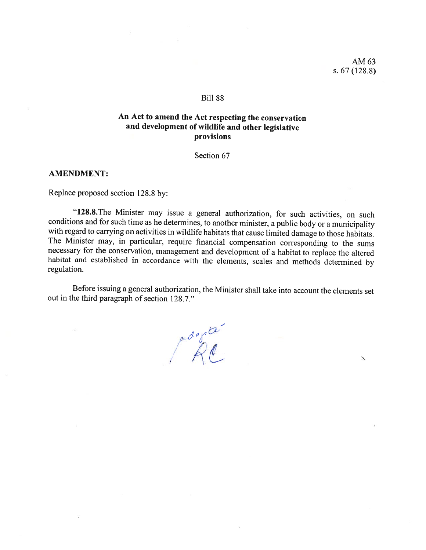### **Bill 88**

## An Act to amend the Act respecting the conservation and development of wildllife and other legislative provisions

Section 67

#### AMENDMENT:

Replace proposed section 128.8 by:

"128.8. The Minister may issue a general authorization, for such activities, on such conditions and for such time as he determines, to another minister, a public body or a municipality with regard to carrying on activities in wildlife habitats that cause limited damage to those habitats.<br>The Minister may, in particular, require financial compensation corresponding to the sums<br>necessary for the conservati habitat and established in accordance with the elements, scales and methods determined by regulation.

Before issuing a general authorization, the Minister shall take into account the elements set out in the third paragraph of section 128.7."

progres